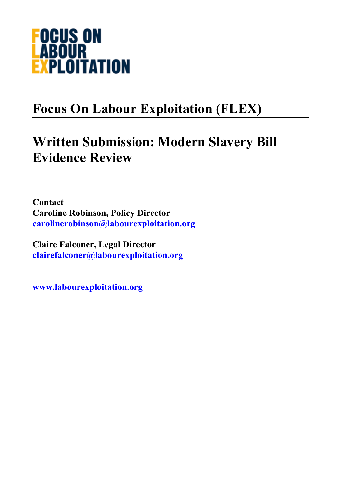

# **Focus On Labour Exploitation (FLEX)**

## **Written Submission: Modern Slavery Bill Evidence Review**

**Contact Caroline Robinson, Policy Director carolinerobinson@labourexploitation.org**

**Claire Falconer, Legal Director clairefalconer@labourexploitation.org**

**www.labourexploitation.org**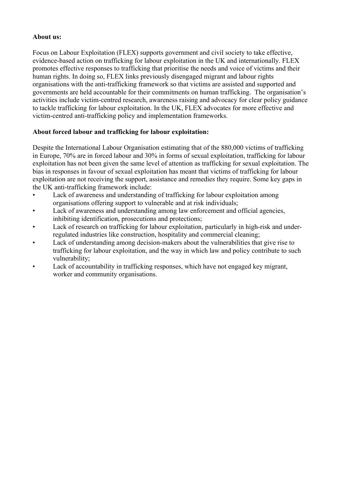## **About us:**

Focus on Labour Exploitation (FLEX) supports government and civil society to take effective, evidence-based action on trafficking for labour exploitation in the UK and internationally. FLEX promotes effective responses to trafficking that prioritise the needs and voice of victims and their human rights. In doing so, FLEX links previously disengaged migrant and labour rights organisations with the anti-trafficking framework so that victims are assisted and supported and governments are held accountable for their commitments on human trafficking. The organisation's activities include victim-centred research, awareness raising and advocacy for clear policy guidance to tackle trafficking for labour exploitation. In the UK, FLEX advocates for more effective and victim-centred anti-trafficking policy and implementation frameworks.

## **About forced labour and trafficking for labour exploitation:**

Despite the International Labour Organisation estimating that of the 880,000 victims of trafficking in Europe, 70% are in forced labour and 30% in forms of sexual exploitation, trafficking for labour exploitation has not been given the same level of attention as trafficking for sexual exploitation. The bias in responses in favour of sexual exploitation has meant that victims of trafficking for labour exploitation are not receiving the support, assistance and remedies they require. Some key gaps in the UK anti-trafficking framework include:

- Lack of awareness and understanding of trafficking for labour exploitation among organisations offering support to vulnerable and at risk individuals;
- Lack of awareness and understanding among law enforcement and official agencies, inhibiting identification, prosecutions and protections;
- Lack of research on trafficking for labour exploitation, particularly in high-risk and underregulated industries like construction, hospitality and commercial cleaning;
- Lack of understanding among decision-makers about the vulnerabilities that give rise to trafficking for labour exploitation, and the way in which law and policy contribute to such vulnerability;
- Lack of accountability in trafficking responses, which have not engaged key migrant, worker and community organisations.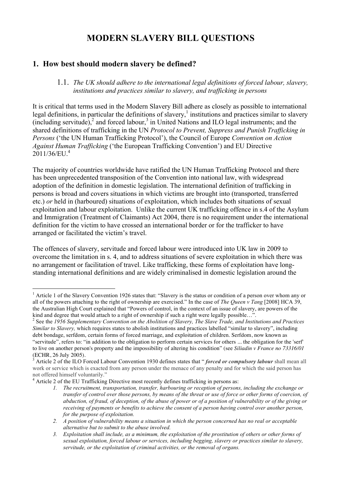## **MODERN SLAVERY BILL QUESTIONS**

## **1. How best should modern slavery be defined?**

### 1.1. *The UK should adhere to the international legal definitions of forced labour, slavery, institutions and practices similar to slavery, and trafficking in persons*

It is critical that terms used in the Modern Slavery Bill adhere as closely as possible to international legal definitions, in particular the definitions of slavery, $\frac{1}{1}$  institutions and practices similar to slavery  $(including$  servitude), $<sup>2</sup>$  and forced labour, $<sup>3</sup>$  in United Nations and ILO legal instruments; and the</sup></sup> shared definitions of trafficking in the UN *Protocol to Prevent, Suppress and Punish Trafficking in Persons* ('the UN Human Trafficking Protocol'), the Council of Europe *Convention on Action Against Human Trafficking* ('the European Trafficking Convention') and EU Directive  $2011/36/EU.<sup>4</sup>$ 

The majority of countries worldwide have ratified the UN Human Trafficking Protocol and there has been unprecedented transposition of the Convention into national law, with widespread adoption of the definition in domestic legislation. The international definition of trafficking in persons is broad and covers situations in which victims are brought into (transported, transferred etc.) *or* held in (harboured) situations of exploitation, which includes both situations of sexual exploitation and labour exploitation. Unlike the current UK trafficking offence in s.4 of the Asylum and Immigration (Treatment of Claimants) Act 2004, there is no requirement under the international definition for the victim to have crossed an international border or for the trafficker to have arranged or facilitated the victim's travel.

The offences of slavery, servitude and forced labour were introduced into UK law in 2009 to overcome the limitation in s. 4, and to address situations of severe exploitation in which there was no arrangement or facilitation of travel. Like trafficking, these forms of exploitation have longstanding international definitions and are widely criminalised in domestic legislation around the

<sup>&</sup>lt;sup>1</sup> Article 1 of the Slavery Convention 1926 states that: "Slavery is the status or condition of a person over whom any or all of the powers attaching to the right of ownership are exercised." In the case of *The Queen v Tang* [2008] HCA 39, the Australian High Court explained that "Powers of control, in the context of an issue of slavery, are powers of the kind and degree that would attach to a right of ownership if such a right were legally possible…".<br><sup>2</sup> See the *1956 Supplementary Convention on the Abolition of Slavery, The Slave Trade, and Institutions and Practices* 

*Similar to Slavery,* which requires states to abolish institutions and practices labelled "similar to slavery", including debt bondage, serfdom, certain forms of forced marriage, and exploitation of children. Serfdom, now known as "servitude", refers to: "in addition to the obligation to perform certain services for others ... the obligation for the 'serf' to live on another person's property and the impossibility of altering his condition" (see *Siliadin v France no 73316/01*  (ECHR, 26 July 2005).

<sup>3</sup> Article 2 of the ILO Forced Labour Convention 1930 defines states that " *forced or compulsory labour* shall mean all work or service which is exacted from any person under the menace of any penalty and for which the said person has not offered himself voluntarily."

<sup>4</sup> Article 2 of the EU Trafficking Directive most recently defines trafficking in persons as:

*<sup>1.</sup> The recruitment, transportation, transfer, harbouring or reception of persons, including the exchange or transfer of control over those persons, by means of the threat or use of force or other forms of coercion, of abduction, of fraud, of deception, of the abuse of power or of a position of vulnerability or of the giving or receiving of payments or benefits to achieve the consent of a person having control over another person, for the purpose of exploitation.*

*<sup>2.</sup> A position of vulnerability means a situation in which the person concerned has no real or acceptable alternative but to submit to the abuse involved.* 

*<sup>3.</sup> Exploitation shall include, as a minimum, the exploitation of the prostitution of others or other forms of sexual exploitation, forced labour or services, including begging, slavery or practices similar to slavery, servitude, or the exploitation of criminal activities, or the removal of organs.*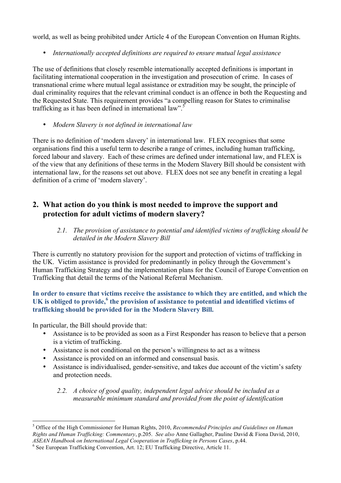world, as well as being prohibited under Article 4 of the European Convention on Human Rights.

• *Internationally accepted definitions are required to ensure mutual legal assistance*

The use of definitions that closely resemble internationally accepted definitions is important in facilitating international cooperation in the investigation and prosecution of crime. In cases of transnational crime where mutual legal assistance or extradition may be sought, the principle of dual criminality requires that the relevant criminal conduct is an offence in both the Requesting and the Requested State. This requirement provides "a compelling reason for States to criminalise trafficking as it has been defined in international law".<sup>5</sup>

• *Modern Slavery is not defined in international law*

There is no definition of 'modern slavery' in international law. FLEX recognises that some organisations find this a useful term to describe a range of crimes, including human trafficking, forced labour and slavery. Each of these crimes are defined under international law, and FLEX is of the view that any definitions of these terms in the Modern Slavery Bill should be consistent with international law, for the reasons set out above. FLEX does not see any benefit in creating a legal definition of a crime of 'modern slavery'.

## **2. What action do you think is most needed to improve the support and protection for adult victims of modern slavery?**

*2.1. The provision of assistance to potential and identified victims of trafficking should be detailed in the Modern Slavery Bill*

There is currently no statutory provision for the support and protection of victims of trafficking in the UK. Victim assistance is provided for predominantly in policy through the Government's Human Trafficking Strategy and the implementation plans for the Council of Europe Convention on Trafficking that detail the terms of the National Referral Mechanism.

## **In order to ensure that victims receive the assistance to which they are entitled, and which the UK is obliged to provide,<sup>6</sup> the provision of assistance to potential and identified victims of trafficking should be provided for in the Modern Slavery Bill.**

In particular, the Bill should provide that:

- Assistance is to be provided as soon as a First Responder has reason to believe that a person is a victim of trafficking.
- Assistance is not conditional on the person's willingness to act as a witness
- Assistance is provided on an informed and consensual basis.
- Assistance is individualised, gender-sensitive, and takes due account of the victim's safety and protection needs.
	- *2.2. A choice of good quality, independent legal advice should be included as a measurable minimum standard and provided from the point of identification*

 <sup>5</sup> Office of the High Commissioner for Human Rights, 2010, *Recommended Principles and Guidelines on Human Rights and Human Trafficking: Commentary*, p.205. *See also* Anne Gallagher, Pauline David & Fiona David, 2010, *ASEAN Handbook on International Legal Cooperation in Trafficking in Persons Cases*, p.44. <sup>6</sup> See European Trafficking Convention, Art. 12; EU Trafficking Directive, Article 11.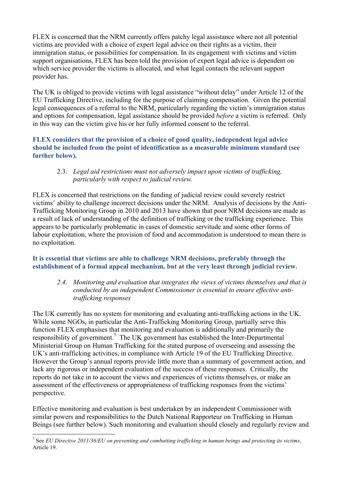FLEX is concerned that the NRM currently offers patchy legal assistance where not all potential victims are provided with a choice of expert legal advice on their rights as a victim, their immigration status, or possibilities for compensation. In its engagement with victims and victim support organisations, FLEX has been told the provision of expert legal advice is dependent on which service provider the victims is allocated, and what legal contacts the relevant support provider has.

The UK is obliged to provide victims with legal assistance "without delay" under Article 12 of the EU Trafficking Directive, including for the purpose of claiming compensation. Given the potential legal consequences of a referral to the NRM, particularly regarding the victim's immigration status and options for compensation, legal assistance should be provided *before* a victim is referred. Only in this way can the victim give his or her fully informed consent to the referral.

## **FLEX considers that the provision of a choice of good quality, independent legal advice should be included from the point of identification as a measurable minimum standard (see further below).**

## 2.3. *Legal aid restrictions must not adversely impact upon victims of trafficking, particularly with respect to judicial review.*

FLEX is concerned that restrictions on the funding of judicial review could severely restrict victims' ability to challenge incorrect decisions under the NRM. Analysis of decisions by the Anti-Trafficking Monitoring Group in 2010 and 2013 have shown that poor NRM decisions are made as a result of lack of understanding of the definition of trafficking or the trafficking experience. This appears to be particularly problematic in cases of domestic servitude and some other forms of labour exploitation, where the provision of food and accommodation is understood to mean there is no exploitation.

## **It is essential that victims are able to challenge NRM decisions, preferably through the establishment of a formal appeal mechanism, but at the very least through judicial review.**

*2.4. Monitoring and evaluation that integrates the views of victims themselves and that is conducted by an independent Commissioner is essential to ensure effective antitrafficking responses*

The UK currently has no system for monitoring and evaluating anti-trafficking actions in the UK. While some NGOs, in particular the Anti-Trafficking Monitoring Group, partially serve this function FLEX emphasises that monitoring and evaluation is additionally and primarily the responsibility of government.<sup>7</sup> The UK government has established the Inter-Departmental Ministerial Group on Human Trafficking for the stated purpose of overseeing and assessing the UK's anti-trafficking activities, in compliance with Article 19 of the EU Trafficking Directive. However the Group's annual reports provide little more than a summary of government action, and lack any rigorous or independent evaluation of the success of these responses. Critically, the reports do not take in to account the views and experiences of victims themselves, or make an assessment of the effectiveness or appropriateness of trafficking responses from the victims' perspective.

Effective monitoring and evaluation is best undertaken by an independent Commissioner with similar powers and responsibilities to the Dutch National Rapporteur on Trafficking in Human Beings (see further below). Such monitoring and evaluation should closely and regularly review and

 <sup>7</sup> See *EU Directive 2011/36/EU on preventing and combatting trafficking in human beings and protecting its victims*, Article 19.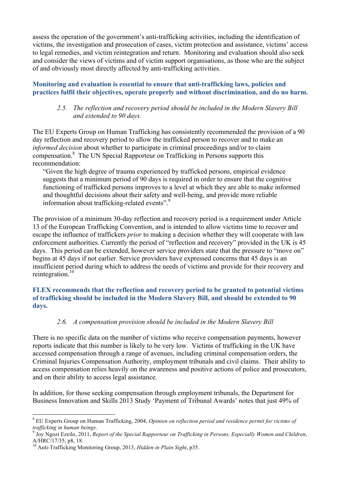assess the operation of the government's anti-trafficking activities, including the identification of victims, the investigation and prosecution of cases, victim protection and assistance, victims' access to legal remedies, and victim reintegration and return. Monitoring and evaluation should also seek and consider the views of victims and of victim support organisations, as those who are the subject of and obviously most directly affected by anti-trafficking activities.

## **Monitoring and evaluation is essential to ensure that anti-trafficking laws, policies and practices fulfil their objectives, operate properly and without discrimination, and do no harm.**

## *2.5. The reflection and recovery period should be included in the Modern Slavery Bill and extended to 90 days.*

The EU Experts Group on Human Trafficking has consistently recommended the provision of a 90 day reflection and recovery period to allow the trafficked person to recover and to make an *informed decision* about whether to participate in criminal proceedings and/or to claim compensation.8 The UN Special Rapporteur on Trafficking in Persons supports this recommendation:

"Given the high degree of trauma experienced by trafficked persons, empirical evidence suggests that a minimum period of 90 days is required in order to ensure that the cognitive functioning of trafficked persons improves to a level at which they are able to make informed and thoughtful decisions about their safety and well-being, and provide more reliable information about trafficking-related events".<sup>9</sup>

The provision of a minimum 30-day reflection and recovery period is a requirement under Article 13 of the European Trafficking Convention, and is intended to allow victims time to recover and escape the influence of traffickers *prior* to making a decision whether they will cooperate with law enforcement authorities. Currently the period of "reflection and recovery" provided in the UK is 45 days. This period can be extended, however service providers state that the pressure to "move on" begins at 45 days if not earlier. Service providers have expressed concerns that 45 days is an insufficient period during which to address the needs of victims and provide for their recovery and reintegration.<sup>10</sup>

## **FLEX recommends that the reflection and recovery period to be granted to potential victims of trafficking should be included in the Modern Slavery Bill, and should be extended to 90 days.**

## *2.6. A compensation provision should be included in the Modern Slavery Bill*

There is no specific data on the number of victims who receive compensation payments, however reports indicate that this number is likely to be very low. Victims of trafficking in the UK have accessed compensation through a range of avenues, including criminal compensation orders, the Criminal Injuries Compensation Authority, employment tribunals and civil claims. Their ability to access compensation relies heavily on the awareness and positive actions of police and prosecutors, and on their ability to access legal assistance.

In addition, for those seeking compensation through employment tribunals, the Department for Business Innovation and Skills 2013 Study 'Payment of Tribunal Awards' notes that just 49% of

 <sup>8</sup> EU Experts Group on Human Trafficking, 2004, *Opinion on reflection period and residence permit for victims of trafficking in human beings.*<br><sup>9</sup> Joy Ngozi Ezeilo, 2011, *Report of the Special Rapporteur on Trafficking in Persons, Especially Women and Children*,

A/HRC/17/35, p8, 18.

<sup>10</sup> Anti-Trafficking Monitoring Group, 2013, *Hidden in Plain Sight*, p35.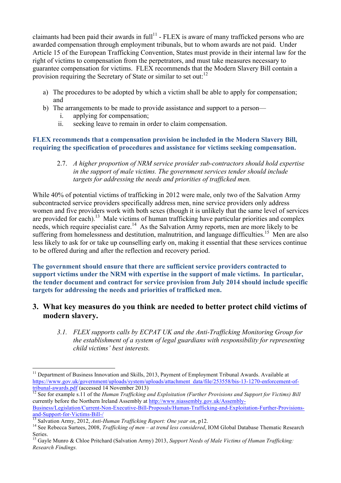claimants had been paid their awards in  $full<sup>11</sup>$  - FLEX is aware of many trafficked persons who are awarded compensation through employment tribunals, but to whom awards are not paid. Under Article 15 of the European Trafficking Convention, States must provide in their internal law for the right of victims to compensation from the perpetrators, and must take measures necessary to guarantee compensation for victims. FLEX recommends that the Modern Slavery Bill contain a provision requiring the Secretary of State or similar to set out:<sup>12</sup>

- a) The procedures to be adopted by which a victim shall be able to apply for compensation; and
- b) The arrangements to be made to provide assistance and support to a person
	- i. applying for compensation;
	- ii. seeking leave to remain in order to claim compensation.

## **FLEX recommends that a compensation provision be included in the Modern Slavery Bill, requiring the specification of procedures and assistance for victims seeking compensation.**

2.7. *A higher proportion of NRM service provider sub-contractors should hold expertise in the support of male victims. The government services tender should include targets for addressing the needs and priorities of trafficked men.*

While 40% of potential victims of trafficking in 2012 were male, only two of the Salvation Army subcontracted service providers specifically address men, nine service providers only address women and five providers work with both sexes (though it is unlikely that the same level of services are provided for each).<sup>13</sup> Male victims of human trafficking have particular priorities and complex needs, which require specialist care.<sup>14</sup> As the Salvation Army reports, men are more likely to be suffering from homelessness and destitution, malnutrition, and language difficulties.<sup>15</sup> Men are also less likely to ask for or take up counselling early on, making it essential that these services continue to be offered during and after the reflection and recovery period.

**The government should ensure that there are sufficient service providers contracted to support victims under the NRM with expertise in the support of male victims. In particular, the tender document and contract for service provision from July 2014 should include specific targets for addressing the needs and priorities of trafficked men.**

## **3. What key measures do you think are needed to better protect child victims of modern slavery.**

*3.1. FLEX supports calls by ECPAT UK and the Anti-Trafficking Monitoring Group for the establishment of a system of legal guardians with responsibility for representing child victims' best interests.* 

<sup>&</sup>lt;sup>11</sup> Department of Business Innovation and Skills, 2013, Payment of Employment Tribunal Awards. Available at https://www.gov.uk/government/uploads/system/uploads/attachment\_data/file/253558/bis-13-1270-enforcement-of-<br>tribunal-awards.pdf (accessed 14 November 2013)

See for example s.11 of the *Human Trafficking and Exploitation (Further Provisions and Support for Victims) Bill* currently before the Northern Ireland Assembly at http://www.niassembly.gov.uk/Assembly-Business/Legislation/Current-Non-Executive-Bill-Proposals/Human-Trafficking-and-Exploitation-Further-Provisions-

 $\frac{13}{13}$  Salvation Army, 2012, Anti-Human Trafficking Report: One year on, p12.<br><sup>14</sup> See Rebecca Surtees, 2008, Trafficking of men – at trend less considered, IOM Global Database Thematic Research Series.

<sup>15</sup> Gayle Munro & Chloe Pritchard (Salvation Army) 2013, *Support Needs of Male Victims of Human Trafficking: Research Findings.*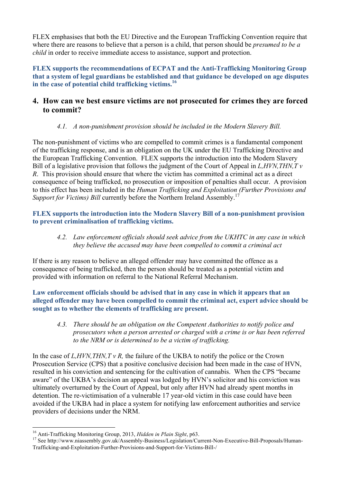FLEX emphasises that both the EU Directive and the European Trafficking Convention require that where there are reasons to believe that a person is a child, that person should be *presumed to be a child* in order to receive immediate access to assistance, support and protection.

**FLEX supports the recommendations of ECPAT and the Anti-Trafficking Monitoring Group that a system of legal guardians be established and that guidance be developed on age disputes in the case of potential child trafficking victims.<sup>16</sup>**

## **4. How can we best ensure victims are not prosecuted for crimes they are forced to commit?**

## *4.1. A non-punishment provision should be included in the Modern Slavery Bill.*

The non-punishment of victims who are compelled to commit crimes is a fundamental component of the trafficking response, and is an obligation on the UK under the EU Trafficking Directive and the European Trafficking Convention. FLEX supports the introduction into the Modern Slavery Bill of a legislative provision that follows the judgment of the Court of Appeal in *L,HVN,THN,T v R*. This provision should ensure that where the victim has committed a criminal act as a direct consequence of being trafficked, no prosecution or imposition of penalties shall occur. A provision to this effect has been included in the *Human Trafficking and Exploitation (Further Provisions and Support for Victims) Bill currently before the Northern Ireland Assembly.*<sup>1</sup>

**FLEX supports the introduction into the Modern Slavery Bill of a non-punishment provision to prevent criminalisation of trafficking victims.** 

*4.2. Law enforcement officials should seek advice from the UKHTC in any case in which they believe the accused may have been compelled to commit a criminal act*

If there is any reason to believe an alleged offender may have committed the offence as a consequence of being trafficked, then the person should be treated as a potential victim and provided with information on referral to the National Referral Mechanism.

**Law enforcement officials should be advised that in any case in which it appears that an alleged offender may have been compelled to commit the criminal act, expert advice should be sought as to whether the elements of trafficking are present.** 

*4.3. There should be an obligation on the Competent Authorities to notify police and prosecutors when a person arrested or charged with a crime is or has been referred to the NRM or is determined to be a victim of trafficking.* 

In the case of *L,HVN,THN,T v R,* the failure of the UKBA to notify the police or the Crown Prosecution Service (CPS) that a positive conclusive decision had been made in the case of HVN, resulted in his conviction and sentencing for the cultivation of cannabis. When the CPS "became aware" of the UKBA's decision an appeal was lodged by HVN's solicitor and his conviction was ultimately overturned by the Court of Appeal, but only after HVN had already spent months in detention. The re-victimisation of a vulnerable 17 year-old victim in this case could have been avoided if the UKBA had in place a system for notifying law enforcement authorities and service providers of decisions under the NRM.

<sup>&</sup>lt;sup>16</sup> Anti-Trafficking Monitoring Group, 2013, *Hidden in Plain Sight*, p63.<br><sup>17</sup> See http://www.niassembly.gov.uk/Assembly-Business/Legislation/Current-Non-Executive-Bill-Proposals/Human-Trafficking-and-Exploitation-Further-Provisions-and-Support-for-Victims-Bill-/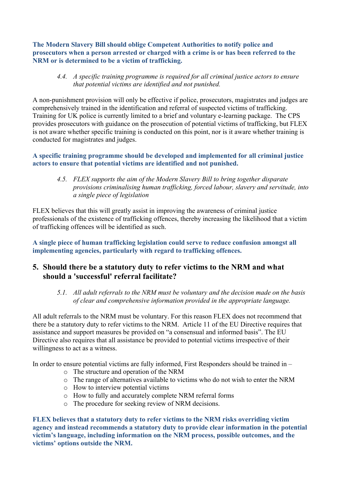**The Modern Slavery Bill should oblige Competent Authorities to notify police and prosecutors when a person arrested or charged with a crime is or has been referred to the NRM or is determined to be a victim of trafficking.** 

*4.4. A specific training programme is required for all criminal justice actors to ensure that potential victims are identified and not punished.* 

A non-punishment provision will only be effective if police, prosecutors, magistrates and judges are comprehensively trained in the identification and referral of suspected victims of trafficking. Training for UK police is currently limited to a brief and voluntary e-learning package. The CPS provides prosecutors with guidance on the prosecution of potential victims of trafficking, but FLEX is not aware whether specific training is conducted on this point, nor is it aware whether training is conducted for magistrates and judges.

#### **A specific training programme should be developed and implemented for all criminal justice actors to ensure that potential victims are identified and not punished.**

*4.5. FLEX supports the aim of the Modern Slavery Bill to bring together disparate provisions criminalising human trafficking, forced labour, slavery and servitude, into a single piece of legislation*

FLEX believes that this will greatly assist in improving the awareness of criminal justice professionals of the existence of trafficking offences, thereby increasing the likelihood that a victim of trafficking offences will be identified as such.

**A single piece of human trafficking legislation could serve to reduce confusion amongst all implementing agencies, particularly with regard to trafficking offences.** 

## **5. Should there be a statutory duty to refer victims to the NRM and what should a 'successful' referral facilitate?**

*5.1. All adult referrals to the NRM must be voluntary and the decision made on the basis of clear and comprehensive information provided in the appropriate language.* 

All adult referrals to the NRM must be voluntary. For this reason FLEX does not recommend that there be a statutory duty to refer victims to the NRM. Article 11 of the EU Directive requires that assistance and support measures be provided on "a consensual and informed basis". The EU Directive also requires that all assistance be provided to potential victims irrespective of their willingness to act as a witness.

In order to ensure potential victims are fully informed, First Responders should be trained in –

- o The structure and operation of the NRM
- o The range of alternatives available to victims who do not wish to enter the NRM
- o How to interview potential victims
- o How to fully and accurately complete NRM referral forms
- o The procedure for seeking review of NRM decisions.

**FLEX believes that a statutory duty to refer victims to the NRM risks overriding victim agency and instead recommends a statutory duty to provide clear information in the potential victim's language, including information on the NRM process, possible outcomes, and the victims' options outside the NRM.**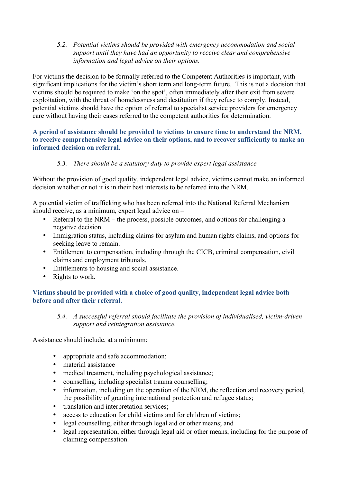*5.2. Potential victims should be provided with emergency accommodation and social support until they have had an opportunity to receive clear and comprehensive information and legal advice on their options.* 

For victims the decision to be formally referred to the Competent Authorities is important, with significant implications for the victim's short term and long-term future. This is not a decision that victims should be required to make 'on the spot', often immediately after their exit from severe exploitation, with the threat of homelessness and destitution if they refuse to comply. Instead, potential victims should have the option of referral to specialist service providers for emergency care without having their cases referred to the competent authorities for determination.

## **A period of assistance should be provided to victims to ensure time to understand the NRM, to receive comprehensive legal advice on their options, and to recover sufficiently to make an informed decision on referral.**

## *5.3. There should be a statutory duty to provide expert legal assistance*

Without the provision of good quality, independent legal advice, victims cannot make an informed decision whether or not it is in their best interests to be referred into the NRM.

A potential victim of trafficking who has been referred into the National Referral Mechanism should receive, as a minimum, expert legal advice on –

- Referral to the NRM the process, possible outcomes, and options for challenging a negative decision.
- Immigration status, including claims for asylum and human rights claims, and options for seeking leave to remain.
- Entitlement to compensation, including through the CICB, criminal compensation, civil claims and employment tribunals.
- Entitlements to housing and social assistance.
- Rights to work.

## **Victims should be provided with a choice of good quality, independent legal advice both before and after their referral.**

## *5.4. A successful referral should facilitate the provision of individualised, victim-driven support and reintegration assistance.*

Assistance should include, at a minimum:

- appropriate and safe accommodation;
- material assistance
- medical treatment, including psychological assistance;
- counselling, including specialist trauma counselling;
- information, including on the operation of the NRM, the reflection and recovery period, the possibility of granting international protection and refugee status;
- translation and interpretation services;
- access to education for child victims and for children of victims;
- legal counselling, either through legal aid or other means; and
- legal representation, either through legal aid or other means, including for the purpose of claiming compensation.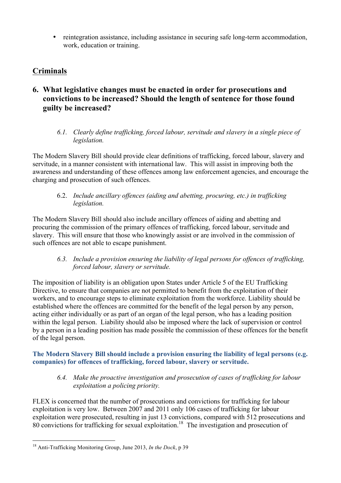• reintegration assistance, including assistance in securing safe long-term accommodation, work, education or training.

## **Criminals**

## **6. What legislative changes must be enacted in order for prosecutions and convictions to be increased? Should the length of sentence for those found guilty be increased?**

*6.1. Clearly define trafficking, forced labour, servitude and slavery in a single piece of legislation.* 

The Modern Slavery Bill should provide clear definitions of trafficking, forced labour, slavery and servitude, in a manner consistent with international law. This will assist in improving both the awareness and understanding of these offences among law enforcement agencies, and encourage the charging and prosecution of such offences.

## 6.2. *Include ancillary offences (aiding and abetting, procuring, etc.) in trafficking legislation.*

The Modern Slavery Bill should also include ancillary offences of aiding and abetting and procuring the commission of the primary offences of trafficking, forced labour, servitude and slavery. This will ensure that those who knowingly assist or are involved in the commission of such offences are not able to escape punishment.

## *6.3. Include a provision ensuring the liability of legal persons for offences of trafficking, forced labour, slavery or servitude.*

The imposition of liability is an obligation upon States under Article 5 of the EU Trafficking Directive, to ensure that companies are not permitted to benefit from the exploitation of their workers, and to encourage steps to eliminate exploitation from the workforce. Liability should be established where the offences are committed for the benefit of the legal person by any person, acting either individually or as part of an organ of the legal person, who has a leading position within the legal person. Liability should also be imposed where the lack of supervision or control by a person in a leading position has made possible the commission of these offences for the benefit of the legal person.

**The Modern Slavery Bill should include a provision ensuring the liability of legal persons (e.g. companies) for offences of trafficking, forced labour, slavery or servitude.** 

## *6.4. Make the proactive investigation and prosecution of cases of trafficking for labour exploitation a policing priority.*

FLEX is concerned that the number of prosecutions and convictions for trafficking for labour exploitation is very low. Between 2007 and 2011 only 106 cases of trafficking for labour exploitation were prosecuted, resulting in just 13 convictions, compared with 512 prosecutions and 80 convictions for trafficking for sexual exploitation.<sup>18</sup> The investigation and prosecution of

 <sup>18</sup> Anti-Trafficking Monitoring Group, June 2013, *In the Dock*, p 39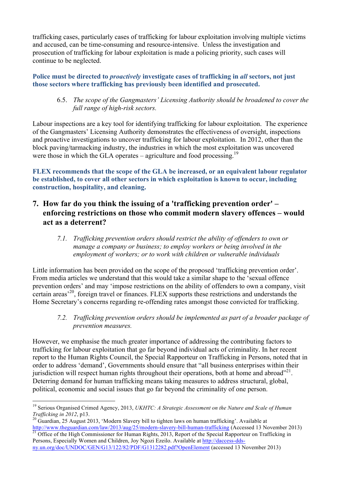trafficking cases, particularly cases of trafficking for labour exploitation involving multiple victims and accused, can be time-consuming and resource-intensive. Unless the investigation and prosecution of trafficking for labour exploitation is made a policing priority, such cases will continue to be neglected.

## **Police must be directed to** *proactively* **investigate cases of trafficking in** *all* **sectors, not just those sectors where trafficking has previously been identified and prosecuted.**

## 6.5. *The scope of the Gangmasters' Licensing Authority should be broadened to cover the full range of high-risk sectors.*

Labour inspections are a key tool for identifying trafficking for labour exploitation. The experience of the Gangmasters' Licensing Authority demonstrates the effectiveness of oversight, inspections and proactive investigations to uncover trafficking for labour exploitation. In 2012, other than the block paving/tarmacking industry, the industries in which the most exploitation was uncovered were those in which the GLA operates – agriculture and food processing.<sup>19</sup>

**FLEX recommends that the scope of the GLA be increased, or an equivalent labour regulator be established, to cover all other sectors in which exploitation is known to occur, including construction, hospitality, and cleaning.** 

## **7. How far do you think the issuing of a 'trafficking prevention order' – enforcing restrictions on those who commit modern slavery offences – would act as a deterrent?**

*7.1. Trafficking prevention orders should restrict the ability of offenders to own or manage a company or business; to employ workers or being involved in the employment of workers; or to work with children or vulnerable individuals*

Little information has been provided on the scope of the proposed 'trafficking prevention order'. From media articles we understand that this would take a similar shape to the 'sexual offence prevention orders' and may 'impose restrictions on the ability of offenders to own a company, visit certain areas'20, foreign travel or finances. FLEX supports these restrictions and understands the Home Secretary's concerns regarding re-offending rates amongst those convicted for trafficking.

*7.2. Trafficking prevention orders should be implemented as part of a broader package of prevention measures.* 

However, we emphasise the much greater importance of addressing the contributing factors to trafficking for labour exploitation that go far beyond individual acts of criminality. In her recent report to the Human Rights Council, the Special Rapporteur on Trafficking in Persons, noted that in order to address 'demand', Governments should ensure that "all business enterprises within their jurisdiction will respect human rights throughout their operations, both at home and abroad $^{221}$ . Deterring demand for human trafficking means taking measures to address structural, global, political, economic and social issues that go far beyond the criminality of one person.

 <sup>19</sup> Serious Organised Crimed Agency, 2013, *UKHTC: A Strategic Assessment on the Nature and Scale of Human* 

*Trafficking in 2012*, p13.<br><sup>20</sup> Guardian, 25 August 2013, 'Modern Slavery bill to tighten laws on human trafficking'. Available at http://www.theguardian.com/law/2013/aug/25/modern-slavery-bill-human-trafficking (Accessed 13 November 2013) <sup>21</sup> Office of the High Commissioner for Human Rights, 2013, Report of the Special Rapporteur on Trafficking in

Persons, Especially Women and Children, Joy Ngozi Ezeilo. Available at http://daccess-ddsny.un.org/doc/UNDOC/GEN/G13/122/82/PDF/G1312282.pdf?OpenElement (accessed 13 November 2013)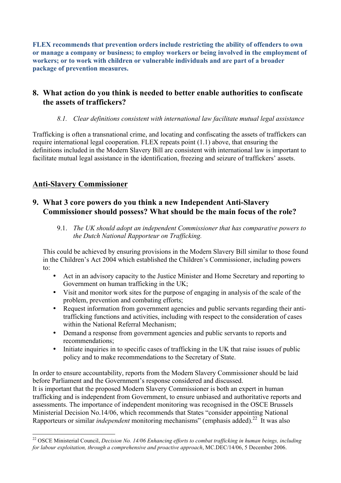**FLEX recommends that prevention orders include restricting the ability of offenders to own or manage a company or business; to employ workers or being involved in the employment of workers; or to work with children or vulnerable individuals and are part of a broader package of prevention measures.** 

## **8. What action do you think is needed to better enable authorities to confiscate the assets of traffickers?**

## *8.1. Clear definitions consistent with international law facilitate mutual legal assistance*

Trafficking is often a transnational crime, and locating and confiscating the assets of traffickers can require international legal cooperation. FLEX repeats point (1.1) above, that ensuring the definitions included in the Modern Slavery Bill are consistent with international law is important to facilitate mutual legal assistance in the identification, freezing and seizure of traffickers' assets.

## **Anti-Slavery Commissioner**

## **9. What 3 core powers do you think a new Independent Anti-Slavery Commissioner should possess? What should be the main focus of the role?**

9.1. *The UK should adopt an independent Commissioner that has comparative powers to the Dutch National Rapporteur on Trafficking.*

This could be achieved by ensuring provisions in the Modern Slavery Bill similar to those found in the Children's Act 2004 which established the Children's Commissioner, including powers to:

- Act in an advisory capacity to the Justice Minister and Home Secretary and reporting to Government on human trafficking in the UK;
- Visit and monitor work sites for the purpose of engaging in analysis of the scale of the problem, prevention and combating efforts;
- Request information from government agencies and public servants regarding their antitrafficking functions and activities, including with respect to the consideration of cases within the National Referral Mechanism;
- Demand a response from government agencies and public servants to reports and recommendations;
- Initiate inquiries in to specific cases of trafficking in the UK that raise issues of public policy and to make recommendations to the Secretary of State.

In order to ensure accountability, reports from the Modern Slavery Commissioner should be laid before Parliament and the Government's response considered and discussed. It is important that the proposed Modern Slavery Commissioner is both an expert in human trafficking and is independent from Government, to ensure unbiased and authoritative reports and assessments. The importance of independent monitoring was recognised in the OSCE Brussels Ministerial Decision No.14/06, which recommends that States "consider appointing National Rapporteurs or similar *independent* monitoring mechanisms" (emphasis added).<sup>22</sup> It was also

<sup>&</sup>lt;sup>22</sup> OSCE Ministerial Council, *Decision No. 14/06 Enhancing efforts to combat trafficking in human beings, including for labour exploitation, through a comprehensive and proactive approach*, MC.DEC/14/06, 5 December 2006.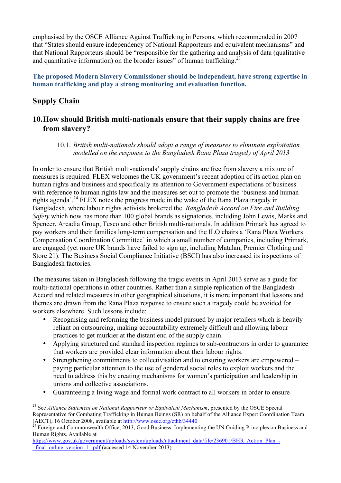emphasised by the OSCE Alliance Against Trafficking in Persons, which recommended in 2007 that "States should ensure independency of National Rapporteurs and equivalent mechanisms" and that National Rapporteurs should be "responsible for the gathering and analysis of data (qualitative and quantitative information) on the broader issues" of human trafficking.<sup>23</sup>

**The proposed Modern Slavery Commissioner should be independent, have strong expertise in human trafficking and play a strong monitoring and evaluation function.**

## **Supply Chain**

## **10.How should British multi-nationals ensure that their supply chains are free from slavery?**

## 10.1. *British multi-nationals should adopt a range of measures to eliminate exploitation modelled on the response to the Bangladesh Rana Plaza tragedy of April 2013*

In order to ensure that British multi-nationals' supply chains are free from slavery a mixture of measures is required. FLEX welcomes the UK government's recent adoption of its action plan on human rights and business and specifically its attention to Government expectations of business with reference to human rights law and the measures set out to promote the 'business and human rights agenda<sup> $24$ </sup> FLEX notes the progress made in the wake of the Rana Plaza tragedy in Bangladesh, where labour rights activists brokered the *Bangladesh Accord on Fire and Building Safety* which now has more than 100 global brands as signatories, including John Lewis, Marks and Spencer, Arcadia Group, Tesco and other British multi-nationals. In addition Primark has agreed to pay workers and their families long-term compensation and the ILO chairs a 'Rana Plaza Workers Compensation Coordination Committee' in which a small number of companies, including Primark, are engaged (yet more UK brands have failed to sign up, including Matalan, Premier Clothing and Store 21). The Business Social Compliance Initiative (BSCI) has also increased its inspections of Bangladesh factories.

The measures taken in Bangladesh following the tragic events in April 2013 serve as a guide for multi-national operations in other countries. Rather than a simple replication of the Bangladesh Accord and related measures in other geographical situations, it is more important that lessons and themes are drawn from the Rana Plaza response to ensure such a tragedy could be avoided for workers elsewhere. Such lessons include:

- Recognising and reforming the business model pursued by major retailers which is heavily reliant on outsourcing, making accountability extremely difficult and allowing labour practices to get murkier at the distant end of the supply chain.
- Applying structured and standard inspection regimes to sub-contractors in order to guarantee that workers are provided clear information about their labour rights.
- Strengthening commitments to collectivisation and to ensuring workers are empowered paying particular attention to the use of gendered social roles to exploit workers and the need to address this by creating mechanisms for women's participation and leadership in unions and collective associations.
- Guaranteeing a living wage and formal work contract to all workers in order to ensure

 <sup>23</sup> See *Alliance Statement on National Rapporteur or Equivalent Mechanism*, presented by the OSCE Special Representative for Combating Trafficking in Human Beings (SR) on behalf of the Alliance Expert Coordination Team (AECT), 16 October 2008, available at  $\frac{http://www.osce.org/cth/34440}{http://www.osce.org/cth/34440}$ <br><sup>24</sup> Foreign and Commonwealth Office, 2013, Good Business: Implementing the UN Guiding Principles on Business and

Human Rights. Available at

https://www.gov.uk/government/uploads/system/uploads/attachment\_data/file/236901/BHR\_Action\_Plan\_final\_online\_version\_1\_.pdf (accessed 14 November 2013)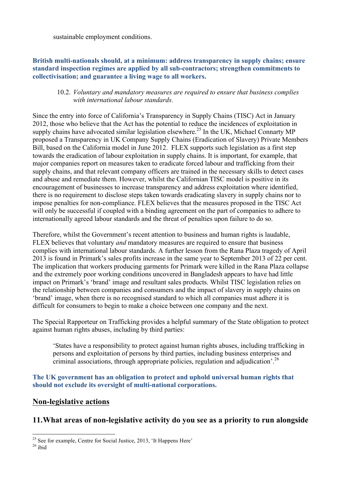sustainable employment conditions.

## **British multi-nationals should, at a minimum: address transparency in supply chains; ensure standard inspection regimes are applied by all sub-contractors; strengthen commitments to collectivisation; and guarantee a living wage to all workers.**

#### 10.2. *Voluntary and mandatory measures are required to ensure that business complies with international labour standards.*

Since the entry into force of California's Transparency in Supply Chains (TISC) Act in January 2012, those who believe that the Act has the potential to reduce the incidences of exploitation in supply chains have advocated similar legislation elsewhere.<sup>25</sup> In the UK, Michael Connarty MP proposed a Transparency in UK Company Supply Chains (Eradication of Slavery) Private Members Bill, based on the California model in June 2012. FLEX supports such legislation as a first step towards the eradication of labour exploitation in supply chains. It is important, for example, that major companies report on measures taken to eradicate forced labour and trafficking from their supply chains, and that relevant company officers are trained in the necessary skills to detect cases and abuse and remediate them. However, whilst the Californian TISC model is positive in its encouragement of businesses to increase transparency and address exploitation where identified, there is no requirement to disclose steps taken towards eradicating slavery in supply chains nor to impose penalties for non-compliance. FLEX believes that the measures proposed in the TISC Act will only be successful if coupled with a binding agreement on the part of companies to adhere to internationally agreed labour standards and the threat of penalties upon failure to do so.

Therefore, whilst the Government's recent attention to business and human rights is laudable, FLEX believes that voluntary *and* mandatory measures are required to ensure that business complies with international labour standards. A further lesson from the Rana Plaza tragedy of April 2013 is found in Primark's sales profits increase in the same year to September 2013 of 22 per cent. The implication that workers producing garments for Primark were killed in the Rana Plaza collapse and the extremely poor working conditions uncovered in Bangladesh appears to have had little impact on Primark's 'brand' image and resultant sales products. Whilst TISC legislation relies on the relationship between companies and consumers and the impact of slavery in supply chains on 'brand' image, when there is no recognised standard to which all companies must adhere it is difficult for consumers to begin to make a choice between one company and the next.

The Special Rapporteur on Trafficking provides a helpful summary of the State obligation to protect against human rights abuses, including by third parties:

'States have a responsibility to protect against human rights abuses, including trafficking in persons and exploitation of persons by third parties, including business enterprises and criminal associations, through appropriate policies, regulation and adjudication'.26

**The UK government has an obligation to protect and uphold universal human rights that should not exclude its oversight of multi-national corporations.** 

## **Non-legislative actions**

## **11.What areas of non-legislative activity do you see as a priority to run alongside**

 $^{25}$  See for example, Centre for Social Justice, 2013, 'It Happens Here'  $^{26}$  ibid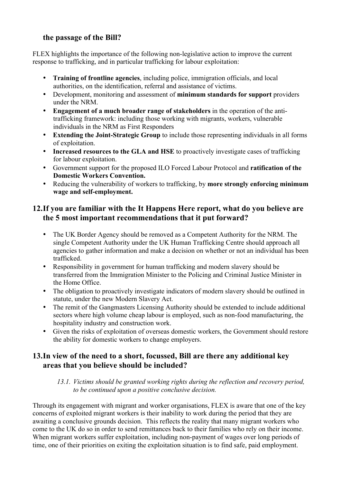## **the passage of the Bill?**

FLEX highlights the importance of the following non-legislative action to improve the current response to trafficking, and in particular trafficking for labour exploitation:

- **Training of frontline agencies**, including police, immigration officials, and local authorities, on the identification, referral and assistance of victims.
- Development, monitoring and assessment of **minimum standards for support** providers under the NRM.
- **Engagement of a much broader range of stakeholders** in the operation of the antitrafficking framework: including those working with migrants, workers, vulnerable individuals in the NRM as First Responders
- **Extending the Joint-Strategic Group** to include those representing individuals in all forms of exploitation.
- **Increased resources to the GLA and HSE** to proactively investigate cases of trafficking for labour exploitation.
- Government support for the proposed ILO Forced Labour Protocol and **ratification of the Domestic Workers Convention.**
- Reducing the vulnerability of workers to trafficking, by **more strongly enforcing minimum wage and self-employment.**

## **12.If you are familiar with the It Happens Here report, what do you believe are the 5 most important recommendations that it put forward?**

- The UK Border Agency should be removed as a Competent Authority for the NRM. The single Competent Authority under the UK Human Trafficking Centre should approach all agencies to gather information and make a decision on whether or not an individual has been trafficked.
- Responsibility in government for human trafficking and modern slavery should be transferred from the Immigration Minister to the Policing and Criminal Justice Minister in the Home Office.
- The obligation to proactively investigate indicators of modern slavery should be outlined in statute, under the new Modern Slavery Act.
- The remit of the Gangmasters Licensing Authority should be extended to include additional sectors where high volume cheap labour is employed, such as non-food manufacturing, the hospitality industry and construction work.
- Given the risks of exploitation of overseas domestic workers, the Government should restore the ability for domestic workers to change employers.

## **13.In view of the need to a short, focussed, Bill are there any additional key areas that you believe should be included?**

## *13.1. Victims should be granted working rights during the reflection and recovery period, to be continued upon a positive conclusive decision.*

Through its engagement with migrant and worker organisations, FLEX is aware that one of the key concerns of exploited migrant workers is their inability to work during the period that they are awaiting a conclusive grounds decision. This reflects the reality that many migrant workers who come to the UK do so in order to send remittances back to their families who rely on their income. When migrant workers suffer exploitation, including non-payment of wages over long periods of time, one of their priorities on exiting the exploitation situation is to find safe, paid employment.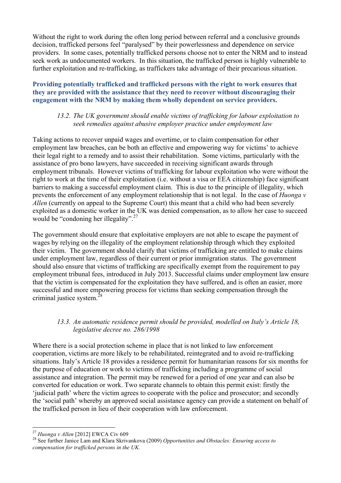Without the right to work during the often long period between referral and a conclusive grounds decision, trafficked persons feel "paralysed" by their powerlessness and dependence on service providers. In some cases, potentially trafficked persons choose not to enter the NRM and to instead seek work as undocumented workers. In this situation, the trafficked person is highly vulnerable to further exploitation and re-trafficking, as traffickers take advantage of their precarious situation.

## **Providing potentially trafficked and trafficked persons with the right to work ensures that they are provided with the assistance that they need to recover without discouraging their engagement with the NRM by making them wholly dependent on service providers.**

## *13.2. The UK government should enable victims of trafficking for labour exploitation to seek remedies against abusive employer practice under employment law*

Taking actions to recover unpaid wages and overtime, or to claim compensation for other employment law breaches, can be both an effective and empowering way for victims' to achieve their legal right to a remedy and to assist their rehabilitation. Some victims, particularly with the assistance of pro bono lawyers, have succeeded in receiving significant awards through employment tribunals. However victims of trafficking for labour exploitation who were without the right to work at the time of their exploitation (i.e. without a visa or EEA citizenship) face significant barriers to making a successful employment claim. This is due to the principle of illegality, which prevents the enforcement of any employment relationship that is not legal. In the case of *Huonga v Allen* (currently on appeal to the Supreme Court) this meant that a child who had been severely exploited as a domestic worker in the UK was denied compensation, as to allow her case to succeed would be "condoning her illegality".<sup>27</sup>

The government should ensure that exploitative employers are not able to escape the payment of wages by relying on the illegality of the employment relationship through which they exploited their victim. The government should clarify that victims of trafficking are entitled to make claims under employment law, regardless of their current or prior immigration status. The government should also ensure that victims of trafficking are specifically exempt from the requirement to pay employment tribunal fees, introduced in July 2013. Successful claims under employment law ensure that the victim is compensated for the exploitation they have suffered, and is often an easier, more successful and more empowering process for victims than seeking compensation through the criminal justice system.<sup>28</sup>

## *13.3. An automatic residence permit should be provided, modelled on Italy's Article 18, legislative decree no. 286/1998*

Where there is a social protection scheme in place that is not linked to law enforcement cooperation, victims are more likely to be rehabilitated, reintegrated and to avoid re-trafficking situations. Italy's Article 18 provides a residence permit for humanitarian reasons for six months for the purpose of education or work to victims of trafficking including a programme of social assistance and integration. The permit may be renewed for a period of one year and can also be converted for education or work. Two separate channels to obtain this permit exist: firstly the 'judicial path' where the victim agrees to cooperate with the police and prosecutor; and secondly the 'social path' whereby an approved social assistance agency can provide a statement on behalf of the trafficked person in lieu of their cooperation with law enforcement.

<sup>&</sup>lt;sup>27</sup> *Huonga v Allen* [2012] EWCA Civ 609<br><sup>28</sup> See further Janice Lam and Klara Skrivankova (2009) *Opportunities and Obstacles: Ensuring access to compensation for trafficked persons in the UK.*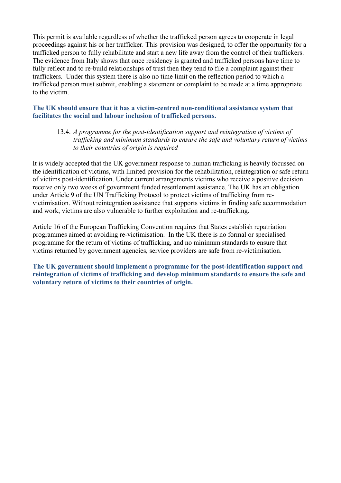This permit is available regardless of whether the trafficked person agrees to cooperate in legal proceedings against his or her trafficker. This provision was designed, to offer the opportunity for a trafficked person to fully rehabilitate and start a new life away from the control of their traffickers. The evidence from Italy shows that once residency is granted and trafficked persons have time to fully reflect and to re-build relationships of trust then they tend to file a complaint against their traffickers. Under this system there is also no time limit on the reflection period to which a trafficked person must submit, enabling a statement or complaint to be made at a time appropriate to the victim.

#### **The UK should ensure that it has a victim-centred non-conditional assistance system that facilitates the social and labour inclusion of trafficked persons.**

13.4. *A programme for the post-identification support and reintegration of victims of trafficking and minimum standards to ensure the safe and voluntary return of victims to their countries of origin is required*

It is widely accepted that the UK government response to human trafficking is heavily focussed on the identification of victims, with limited provision for the rehabilitation, reintegration or safe return of victims post-identification. Under current arrangements victims who receive a positive decision receive only two weeks of government funded resettlement assistance. The UK has an obligation under Article 9 of the UN Trafficking Protocol to protect victims of trafficking from revictimisation. Without reintegration assistance that supports victims in finding safe accommodation and work, victims are also vulnerable to further exploitation and re-trafficking.

Article 16 of the European Trafficking Convention requires that States establish repatriation programmes aimed at avoiding re-victimisation. In the UK there is no formal or specialised programme for the return of victims of trafficking, and no minimum standards to ensure that victims returned by government agencies, service providers are safe from re-victimisation.

**The UK government should implement a programme for the post-identification support and reintegration of victims of trafficking and develop minimum standards to ensure the safe and voluntary return of victims to their countries of origin.**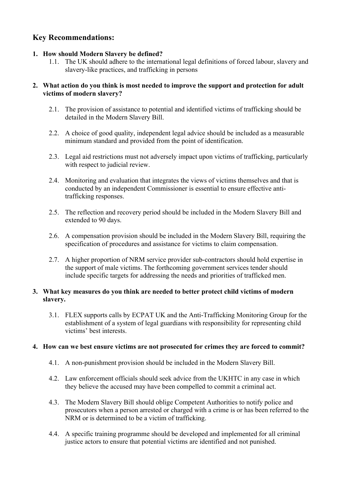## **Key Recommendations:**

## **1. How should Modern Slavery be defined?**

1.1. The UK should adhere to the international legal definitions of forced labour, slavery and slavery-like practices, and trafficking in persons

## **2. What action do you think is most needed to improve the support and protection for adult victims of modern slavery?**

- 2.1. The provision of assistance to potential and identified victims of trafficking should be detailed in the Modern Slavery Bill.
- 2.2. A choice of good quality, independent legal advice should be included as a measurable minimum standard and provided from the point of identification.
- 2.3. Legal aid restrictions must not adversely impact upon victims of trafficking, particularly with respect to judicial review.
- 2.4. Monitoring and evaluation that integrates the views of victims themselves and that is conducted by an independent Commissioner is essential to ensure effective antitrafficking responses.
- 2.5. The reflection and recovery period should be included in the Modern Slavery Bill and extended to 90 days.
- 2.6. A compensation provision should be included in the Modern Slavery Bill, requiring the specification of procedures and assistance for victims to claim compensation.
- 2.7. A higher proportion of NRM service provider sub-contractors should hold expertise in the support of male victims. The forthcoming government services tender should include specific targets for addressing the needs and priorities of trafficked men.

## **3. What key measures do you think are needed to better protect child victims of modern slavery.**

3.1. FLEX supports calls by ECPAT UK and the Anti-Trafficking Monitoring Group for the establishment of a system of legal guardians with responsibility for representing child victims' best interests.

## **4. How can we best ensure victims are not prosecuted for crimes they are forced to commit?**

- 4.1. A non-punishment provision should be included in the Modern Slavery Bill.
- 4.2. Law enforcement officials should seek advice from the UKHTC in any case in which they believe the accused may have been compelled to commit a criminal act.
- 4.3. The Modern Slavery Bill should oblige Competent Authorities to notify police and prosecutors when a person arrested or charged with a crime is or has been referred to the NRM or is determined to be a victim of trafficking.
- 4.4. A specific training programme should be developed and implemented for all criminal justice actors to ensure that potential victims are identified and not punished.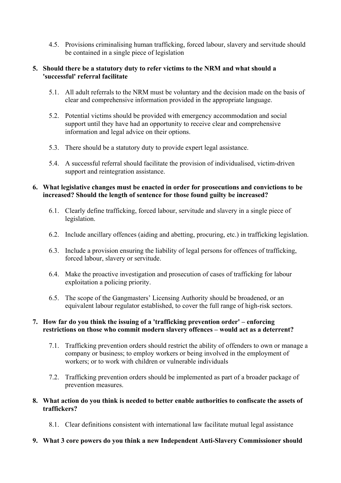4.5. Provisions criminalising human trafficking, forced labour, slavery and servitude should be contained in a single piece of legislation

#### **5. Should there be a statutory duty to refer victims to the NRM and what should a 'successful' referral facilitate**

- 5.1. All adult referrals to the NRM must be voluntary and the decision made on the basis of clear and comprehensive information provided in the appropriate language.
- 5.2. Potential victims should be provided with emergency accommodation and social support until they have had an opportunity to receive clear and comprehensive information and legal advice on their options.
- 5.3. There should be a statutory duty to provide expert legal assistance.
- 5.4. A successful referral should facilitate the provision of individualised, victim-driven support and reintegration assistance.

## **6. What legislative changes must be enacted in order for prosecutions and convictions to be increased? Should the length of sentence for those found guilty be increased?**

- 6.1. Clearly define trafficking, forced labour, servitude and slavery in a single piece of legislation.
- 6.2. Include ancillary offences (aiding and abetting, procuring, etc.) in trafficking legislation.
- 6.3. Include a provision ensuring the liability of legal persons for offences of trafficking, forced labour, slavery or servitude.
- 6.4. Make the proactive investigation and prosecution of cases of trafficking for labour exploitation a policing priority.
- 6.5. The scope of the Gangmasters' Licensing Authority should be broadened, or an equivalent labour regulator established, to cover the full range of high-risk sectors.

## **7. How far do you think the issuing of a 'trafficking prevention order' – enforcing restrictions on those who commit modern slavery offences – would act as a deterrent?**

- 7.1. Trafficking prevention orders should restrict the ability of offenders to own or manage a company or business; to employ workers or being involved in the employment of workers; or to work with children or vulnerable individuals
- 7.2. Trafficking prevention orders should be implemented as part of a broader package of prevention measures.
- **8. What action do you think is needed to better enable authorities to confiscate the assets of traffickers?** 
	- 8.1. Clear definitions consistent with international law facilitate mutual legal assistance
- **9. What 3 core powers do you think a new Independent Anti-Slavery Commissioner should**